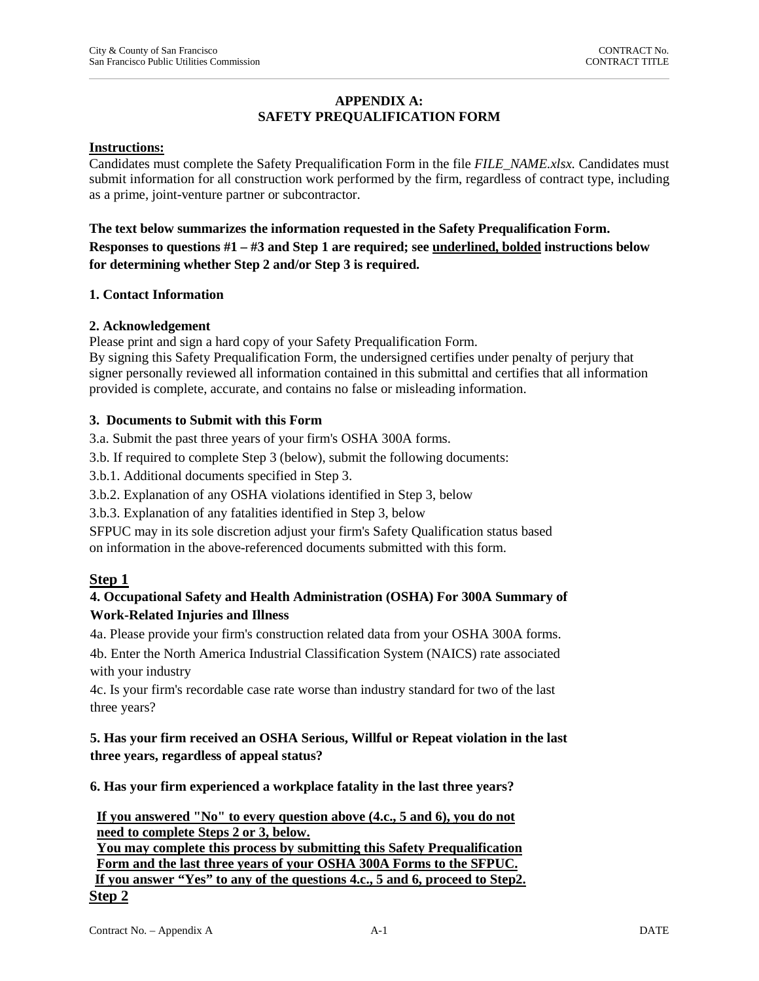## **APPENDIX A: SAFETY PREQUALIFICATION FORM**

#### **Instructions:**

Candidates must complete the Safety Prequalification Form in the file *FILE\_NAME.xlsx.* Candidates must submit information for all construction work performed by the firm, regardless of contract type, including as a prime, joint-venture partner or subcontractor.

**The text below summarizes the information requested in the Safety Prequalification Form. Responses to questions #1 – #3 and Step 1 are required; see underlined, bolded instructions below for determining whether Step 2 and/or Step 3 is required.** 

#### **1. Contact Information**

### **2. Acknowledgement**

Please print and sign a hard copy of your Safety Prequalification Form.

By signing this Safety Prequalification Form, the undersigned certifies under penalty of perjury that signer personally reviewed all information contained in this submittal and certifies that all information provided is complete, accurate, and contains no false or misleading information.

### **3. Documents to Submit with this Form**

3.a. Submit the past three years of your firm's OSHA 300A forms.

3.b. If required to complete Step 3 (below), submit the following documents:

3.b.1. Additional documents specified in Step 3.

3.b.2. Explanation of any OSHA violations identified in Step 3, below

3.b.3. Explanation of any fatalities identified in Step 3, below

SFPUC may in its sole discretion adjust your firm's Safety Qualification status based on information in the above-referenced documents submitted with this form.

### **Step 1**

## **4. Occupational Safety and Health Administration (OSHA) For 300A Summary of Work-Related Injuries and Illness**

4a. Please provide your firm's construction related data from your OSHA 300A forms.

4b. Enter the North America Industrial Classification System (NAICS) rate associated with your industry

4c. Is your firm's recordable case rate worse than industry standard for two of the last three years?

# **5. Has your firm received an OSHA Serious, Willful or Repeat violation in the last three years, regardless of appeal status?**

**6. Has your firm experienced a workplace fatality in the last three years?** 

**If you answered "No" to every question above (4.c., 5 and 6), you do not need to complete Steps 2 or 3, below. You may complete this process by submitting this Safety Prequalification Form and the last three years of your OSHA 300A Forms to the SFPUC. If you answer "Yes" to any of the questions 4.c., 5 and 6, proceed to Step2. Step 2**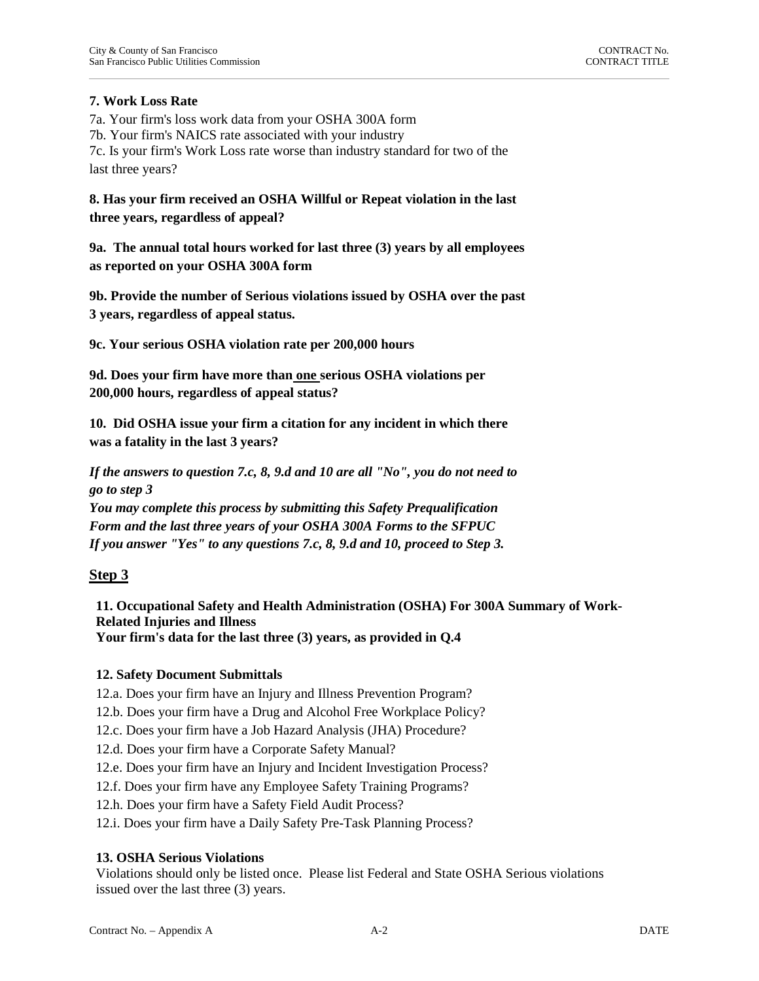## **7. Work Loss Rate**

7a. Your firm's loss work data from your OSHA 300A form 7b. Your firm's NAICS rate associated with your industry 7c. Is your firm's Work Loss rate worse than industry standard for two of the last three years?

**8. Has your firm received an OSHA Willful or Repeat violation in the last three years, regardless of appeal?**

**9a. The annual total hours worked for last three (3) years by all employees as reported on your OSHA 300A form**

**9b. Provide the number of Serious violations issued by OSHA over the past 3 years, regardless of appeal status.**

**9c. Your serious OSHA violation rate per 200,000 hours** 

**9d. Does your firm have more than one serious OSHA violations per 200,000 hours, regardless of appeal status?** 

**10. Did OSHA issue your firm a citation for any incident in which there was a fatality in the last 3 years?** 

*If the answers to question 7.c, 8, 9.d and 10 are all "No", you do not need to go to step 3 You may complete this process by submitting this Safety Prequalification Form and the last three years of your OSHA 300A Forms to the SFPUC If you answer "Yes" to any questions 7.c, 8, 9.d and 10, proceed to Step 3.*

# **Step 3**

**11. Occupational Safety and Health Administration (OSHA) For 300A Summary of Work-Related Injuries and Illness Your firm's data for the last three (3) years, as provided in Q.4** 

### **12. Safety Document Submittals**

12.a. Does your firm have an Injury and Illness Prevention Program?

12.b. Does your firm have a Drug and Alcohol Free Workplace Policy?

12.c. Does your firm have a Job Hazard Analysis (JHA) Procedure?

12.d. Does your firm have a Corporate Safety Manual?

12.e. Does your firm have an Injury and Incident Investigation Process?

12.f. Does your firm have any Employee Safety Training Programs?

12.h. Does your firm have a Safety Field Audit Process?

12.i. Does your firm have a Daily Safety Pre-Task Planning Process?

### **13. OSHA Serious Violations**

Violations should only be listed once. Please list Federal and State OSHA Serious violations issued over the last three (3) years.